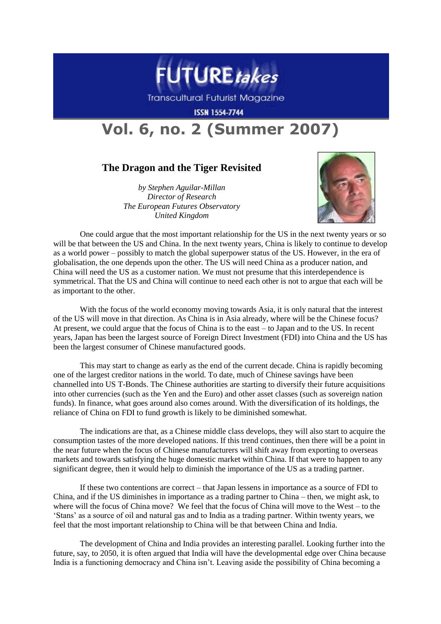

**Transcultural Futurist Magazine** 

**ISSN 1554-7744** 

## **Vol. 6, no. 2 (Summer 2007)**

## **The Dragon and the Tiger Revisited**

*by Stephen Aguilar-Millan Director of Research The European Futures Observatory United Kingdom*



One could argue that the most important relationship for the US in the next twenty years or so will be that between the US and China. In the next twenty years, China is likely to continue to develop as a world power – possibly to match the global superpower status of the US. However, in the era of globalisation, the one depends upon the other. The US will need China as a producer nation, and China will need the US as a customer nation. We must not presume that this interdependence is symmetrical. That the US and China will continue to need each other is not to argue that each will be as important to the other.

With the focus of the world economy moving towards Asia, it is only natural that the interest of the US will move in that direction. As China is in Asia already, where will be the Chinese focus? At present, we could argue that the focus of China is to the east – to Japan and to the US. In recent years, Japan has been the largest source of Foreign Direct Investment (FDI) into China and the US has been the largest consumer of Chinese manufactured goods.

This may start to change as early as the end of the current decade. China is rapidly becoming one of the largest creditor nations in the world. To date, much of Chinese savings have been channelled into US T-Bonds. The Chinese authorities are starting to diversify their future acquisitions into other currencies (such as the Yen and the Euro) and other asset classes (such as sovereign nation funds). In finance, what goes around also comes around. With the diversification of its holdings, the reliance of China on FDI to fund growth is likely to be diminished somewhat.

The indications are that, as a Chinese middle class develops, they will also start to acquire the consumption tastes of the more developed nations. If this trend continues, then there will be a point in the near future when the focus of Chinese manufacturers will shift away from exporting to overseas markets and towards satisfying the huge domestic market within China. If that were to happen to any significant degree, then it would help to diminish the importance of the US as a trading partner.

If these two contentions are correct – that Japan lessens in importance as a source of FDI to China, and if the US diminishes in importance as a trading partner to China – then, we might ask, to where will the focus of China move? We feel that the focus of China will move to the West – to the 'Stans' as a source of oil and natural gas and to India as a trading partner. Within twenty years, we feel that the most important relationship to China will be that between China and India.

The development of China and India provides an interesting parallel. Looking further into the future, say, to 2050, it is often argued that India will have the developmental edge over China because India is a functioning democracy and China isn't. Leaving aside the possibility of China becoming a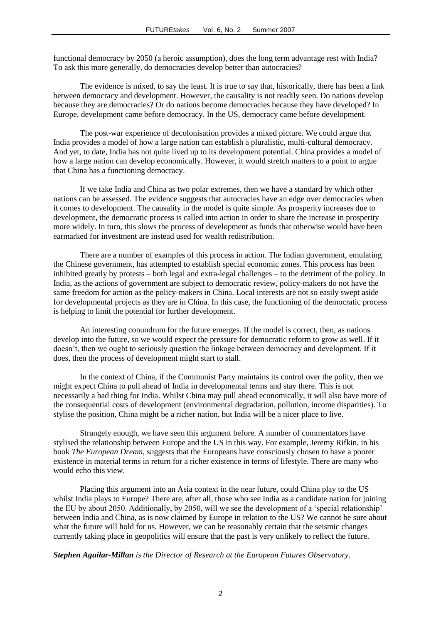functional democracy by 2050 (a heroic assumption), does the long term advantage rest with India? To ask this more generally, do democracies develop better than autocracies?

The evidence is mixed, to say the least. It is true to say that, historically, there has been a link between democracy and development. However, the causality is not readily seen. Do nations develop because they are democracies? Or do nations become democracies because they have developed? In Europe, development came before democracy. In the US, democracy came before development.

The post-war experience of decolonisation provides a mixed picture. We could argue that India provides a model of how a large nation can establish a pluralistic, multi-cultural democracy. And yet, to date, India has not quite lived up to its development potential. China provides a model of how a large nation can develop economically. However, it would stretch matters to a point to argue that China has a functioning democracy.

If we take India and China as two polar extremes, then we have a standard by which other nations can be assessed. The evidence suggests that autocracies have an edge over democracies when it comes to development. The causality in the model is quite simple. As prosperity increases due to development, the democratic process is called into action in order to share the increase in prosperity more widely. In turn, this slows the process of development as funds that otherwise would have been earmarked for investment are instead used for wealth redistribution.

There are a number of examples of this process in action. The Indian government, emulating the Chinese government, has attempted to establish special economic zones. This process has been inhibited greatly by protests – both legal and extra-legal challenges – to the detriment of the policy. In India, as the actions of government are subject to democratic review, policy-makers do not have the same freedom for action as the policy-makers in China. Local interests are not so easily swept aside for developmental projects as they are in China. In this case, the functioning of the democratic process is helping to limit the potential for further development.

An interesting conundrum for the future emerges. If the model is correct, then, as nations develop into the future, so we would expect the pressure for democratic reform to grow as well. If it doesn't, then we ought to seriously question the linkage between democracy and development. If it does, then the process of development might start to stall.

In the context of China, if the Communist Party maintains its control over the polity, then we might expect China to pull ahead of India in developmental terms and stay there. This is not necessarily a bad thing for India. Whilst China may pull ahead economically, it will also have more of the consequential costs of development (environmental degradation, pollution, income disparities). To stylise the position, China might be a richer nation, but India will be a nicer place to live.

Strangely enough, we have seen this argument before. A number of commentators have stylised the relationship between Europe and the US in this way. For example, Jeremy Rifkin, in his book *The European Dream*, suggests that the Europeans have consciously chosen to have a poorer existence in material terms in return for a richer existence in terms of lifestyle. There are many who would echo this view.

Placing this argument into an Asia context in the near future, could China play to the US whilst India plays to Europe? There are, after all, those who see India as a candidate nation for joining the EU by about 2050. Additionally, by 2050, will we see the development of a 'special relationship' between India and China, as is now claimed by Europe in relation to the US? We cannot be sure about what the future will hold for us. However, we can be reasonably certain that the seismic changes currently taking place in geopolitics will ensure that the past is very unlikely to reflect the future.

## *Stephen Aguilar-Millan is the Director of Research at the European Futures Observatory.*